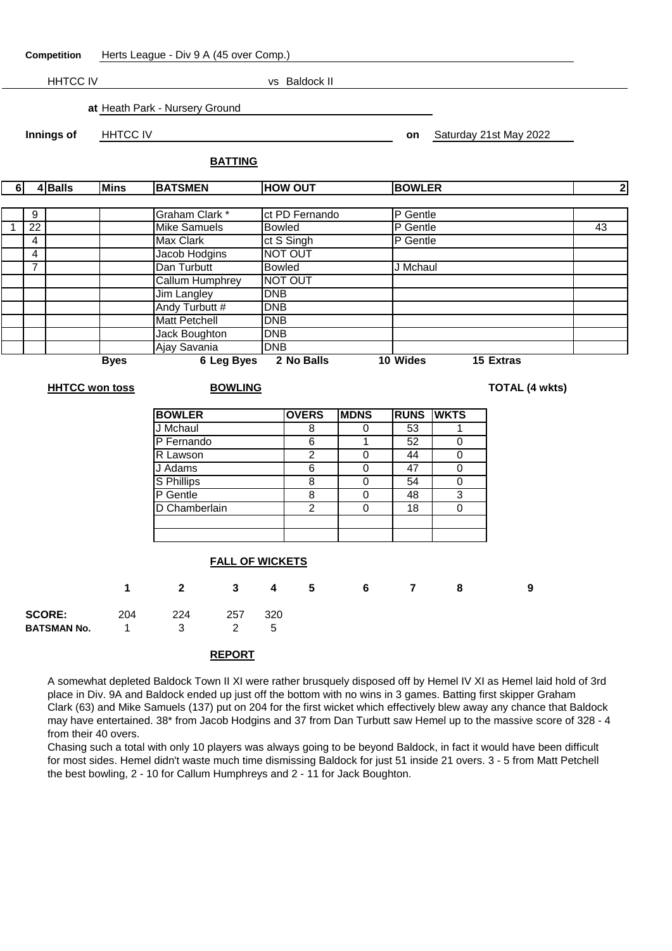**Competition** Herts League - Div 9 A (45 over Comp.) HHTCC IV vs Baldock II **at** Heath Park - Nursery Ground **Innings of** HHTCC IV **on** Saturday 21st May 2022 **BATTING 6 4 Balls Mins BATSMEN HOW OUT BOWLER 2** 9 | Graham Clark \* ct PD Fernando P Gentle 22 Mike Samuels Bowled P Gentle 13 4 Max Clark ct S Singh P Gentle 4 Jacob Hodgins NOT OUT 7 | **IDan Turbutt | Bowled** J Mchaul Callum Humphrey NOT OUT Jim Langley DNB Andy Turbutt # DNB Matt Petchell **DNB** Jack Boughton **DNB** Ajay Savania DNB **Byes 6 Leg Byes 2 No Balls 10 Wides 15 Extras HHTCC won toss BOWLING TOTAL (4 wkts) BOWLER OVERS MDNS RUNS WKTS** J Mchaul 1 8 0 53 1 P Fernando 6 1 52 0 R Lawson 2 0 44 0 J Adams 6 0 47 0 S Phillips 8 0 54 0 P Gentle 8 0 48 3 D Chamberlain 2 0 18 0 **FALL OF WICKETS 1 2 3 4 5 6 7 8 9 SCORE:** 204 224 257 320 **BATSMAN No.** 1 3 2 5

## **REPORT**

A somewhat depleted Baldock Town II XI were rather brusquely disposed off by Hemel IV XI as Hemel laid hold of 3rd place in Div. 9A and Baldock ended up just off the bottom with no wins in 3 games. Batting first skipper Graham Clark (63) and Mike Samuels (137) put on 204 for the first wicket which effectively blew away any chance that Baldock may have entertained. 38\* from Jacob Hodgins and 37 from Dan Turbutt saw Hemel up to the massive score of 328 - 4 from their 40 overs.

Chasing such a total with only 10 players was always going to be beyond Baldock, in fact it would have been difficult for most sides. Hemel didn't waste much time dismissing Baldock for just 51 inside 21 overs. 3 - 5 from Matt Petchell the best bowling, 2 - 10 for Callum Humphreys and 2 - 11 for Jack Boughton.